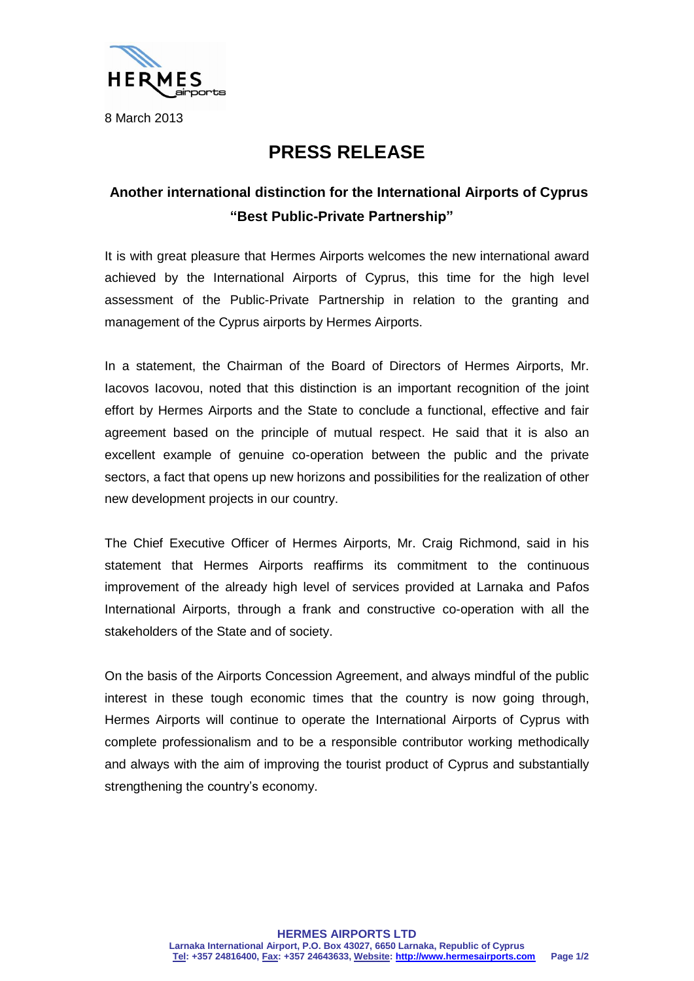

## **PRESS RELEASE**

## **Another international distinction for the International Airports of Cyprus "Best Public-Private Partnership"**

It is with great pleasure that Hermes Airports welcomes the new international award achieved by the International Airports of Cyprus, this time for the high level assessment of the Public-Private Partnership in relation to the granting and management of the Cyprus airports by Hermes Airports.

In a statement, the Chairman of the Board of Directors of Hermes Airports, Mr. Iacovos Iacovou, noted that this distinction is an important recognition of the joint effort by Hermes Airports and the State to conclude a functional, effective and fair agreement based on the principle of mutual respect. He said that it is also an excellent example of genuine co-operation between the public and the private sectors, a fact that opens up new horizons and possibilities for the realization of other new development projects in our country.

The Chief Executive Officer of Hermes Airports, Mr. Craig Richmond, said in his statement that Hermes Airports reaffirms its commitment to the continuous improvement of the already high level of services provided at Larnaka and Pafos International Airports, through a frank and constructive co-operation with all the stakeholders of the State and of society.

On the basis of the Airports Concession Agreement, and always mindful of the public interest in these tough economic times that the country is now going through, Hermes Airports will continue to operate the International Airports of Cyprus with complete professionalism and to be a responsible contributor working methodically and always with the aim of improving the tourist product of Cyprus and substantially strengthening the country's economy.